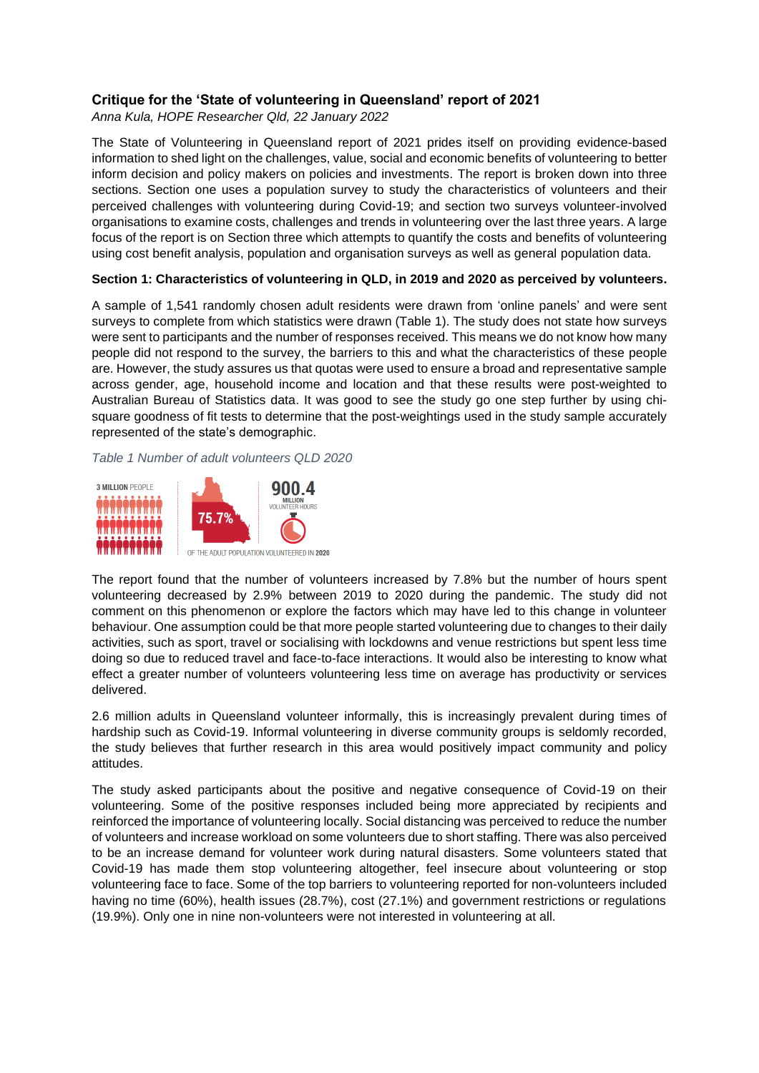# **Critique for the 'State of volunteering in Queensland' report of 2021**

*Anna Kula, HOPE Researcher Qld, 22 January 2022*

The State of Volunteering in Queensland report of 2021 prides itself on providing evidence-based information to shed light on the challenges, value, social and economic benefits of volunteering to better inform decision and policy makers on policies and investments. The report is broken down into three sections. Section one uses a population survey to study the characteristics of volunteers and their perceived challenges with volunteering during Covid-19; and section two surveys volunteer-involved organisations to examine costs, challenges and trends in volunteering over the last three years. A large focus of the report is on Section three which attempts to quantify the costs and benefits of volunteering using cost benefit analysis, population and organisation surveys as well as general population data.

## **Section 1: Characteristics of volunteering in QLD, in 2019 and 2020 as perceived by volunteers.**

A sample of 1,541 randomly chosen adult residents were drawn from 'online panels' and were sent surveys to complete from which statistics were drawn (Table 1). The study does not state how surveys were sent to participants and the number of responses received. This means we do not know how many people did not respond to the survey, the barriers to this and what the characteristics of these people are. However, the study assures us that quotas were used to ensure a broad and representative sample across gender, age, household income and location and that these results were post-weighted to Australian Bureau of Statistics data. It was good to see the study go one step further by using chisquare goodness of fit tests to determine that the post-weightings used in the study sample accurately represented of the state's demographic.

*Table 1 Number of adult volunteers QLD 2020*



The report found that the number of volunteers increased by 7.8% but the number of hours spent volunteering decreased by 2.9% between 2019 to 2020 during the pandemic. The study did not comment on this phenomenon or explore the factors which may have led to this change in volunteer behaviour. One assumption could be that more people started volunteering due to changes to their daily activities, such as sport, travel or socialising with lockdowns and venue restrictions but spent less time doing so due to reduced travel and face-to-face interactions. It would also be interesting to know what effect a greater number of volunteers volunteering less time on average has productivity or services delivered.

2.6 million adults in Queensland volunteer informally, this is increasingly prevalent during times of hardship such as Covid-19. Informal volunteering in diverse community groups is seldomly recorded, the study believes that further research in this area would positively impact community and policy attitudes.

The study asked participants about the positive and negative consequence of Covid-19 on their volunteering. Some of the positive responses included being more appreciated by recipients and reinforced the importance of volunteering locally. Social distancing was perceived to reduce the number of volunteers and increase workload on some volunteers due to short staffing. There was also perceived to be an increase demand for volunteer work during natural disasters. Some volunteers stated that Covid-19 has made them stop volunteering altogether, feel insecure about volunteering or stop volunteering face to face. Some of the top barriers to volunteering reported for non-volunteers included having no time (60%), health issues (28.7%), cost (27.1%) and government restrictions or regulations (19.9%). Only one in nine non-volunteers were not interested in volunteering at all.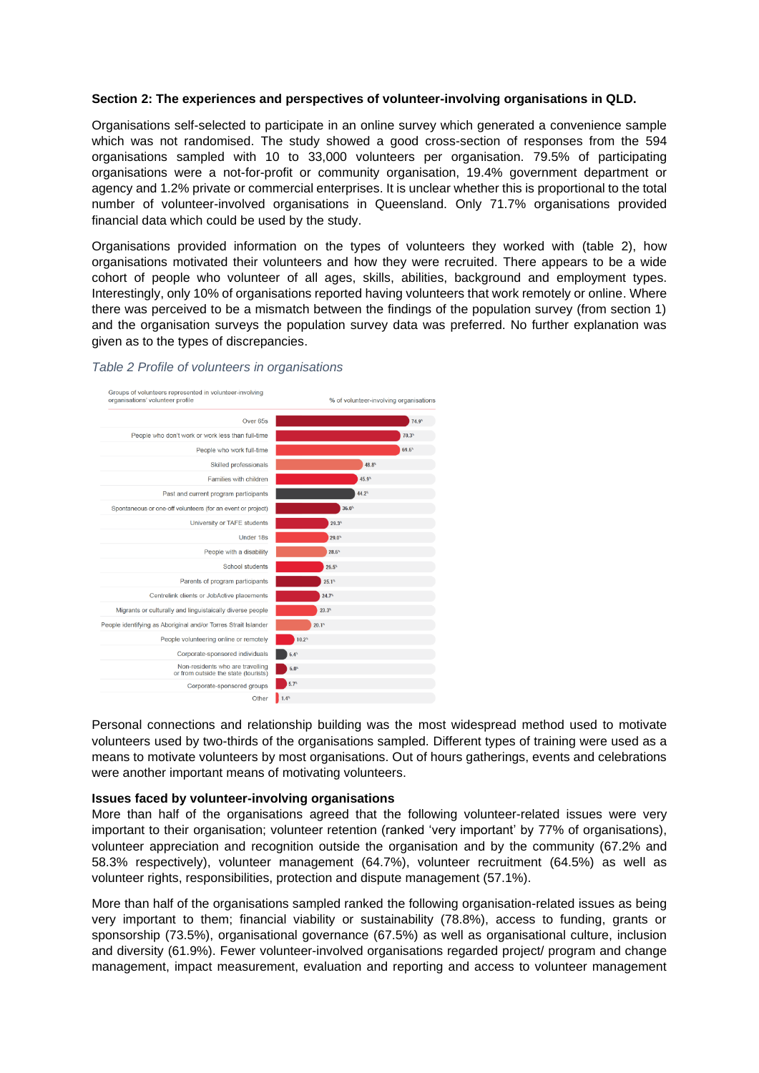## **Section 2: The experiences and perspectives of volunteer-involving organisations in QLD.**

Organisations self-selected to participate in an online survey which generated a convenience sample which was not randomised. The study showed a good cross-section of responses from the 594 organisations sampled with 10 to 33,000 volunteers per organisation. 79.5% of participating organisations were a not-for-profit or community organisation, 19.4% government department or agency and 1.2% private or commercial enterprises. It is unclear whether this is proportional to the total number of volunteer-involved organisations in Queensland. Only 71.7% organisations provided financial data which could be used by the study.

Organisations provided information on the types of volunteers they worked with (table 2), how organisations motivated their volunteers and how they were recruited. There appears to be a wide cohort of people who volunteer of all ages, skills, abilities, background and employment types. Interestingly, only 10% of organisations reported having volunteers that work remotely or online. Where there was perceived to be a mismatch between the findings of the population survey (from section 1) and the organisation surveys the population survey data was preferred. No further explanation was given as to the types of discrepancies.

#### *Table 2 Profile of volunteers in organisations*



Personal connections and relationship building was the most widespread method used to motivate volunteers used by two-thirds of the organisations sampled. Different types of training were used as a means to motivate volunteers by most organisations. Out of hours gatherings, events and celebrations were another important means of motivating volunteers.

#### **Issues faced by volunteer-involving organisations**

More than half of the organisations agreed that the following volunteer-related issues were very important to their organisation; volunteer retention (ranked 'very important' by 77% of organisations), volunteer appreciation and recognition outside the organisation and by the community (67.2% and 58.3% respectively), volunteer management (64.7%), volunteer recruitment (64.5%) as well as volunteer rights, responsibilities, protection and dispute management (57.1%).

More than half of the organisations sampled ranked the following organisation-related issues as being very important to them; financial viability or sustainability (78.8%), access to funding, grants or sponsorship (73.5%), organisational governance (67.5%) as well as organisational culture, inclusion and diversity (61.9%). Fewer volunteer-involved organisations regarded project/ program and change management, impact measurement, evaluation and reporting and access to volunteer management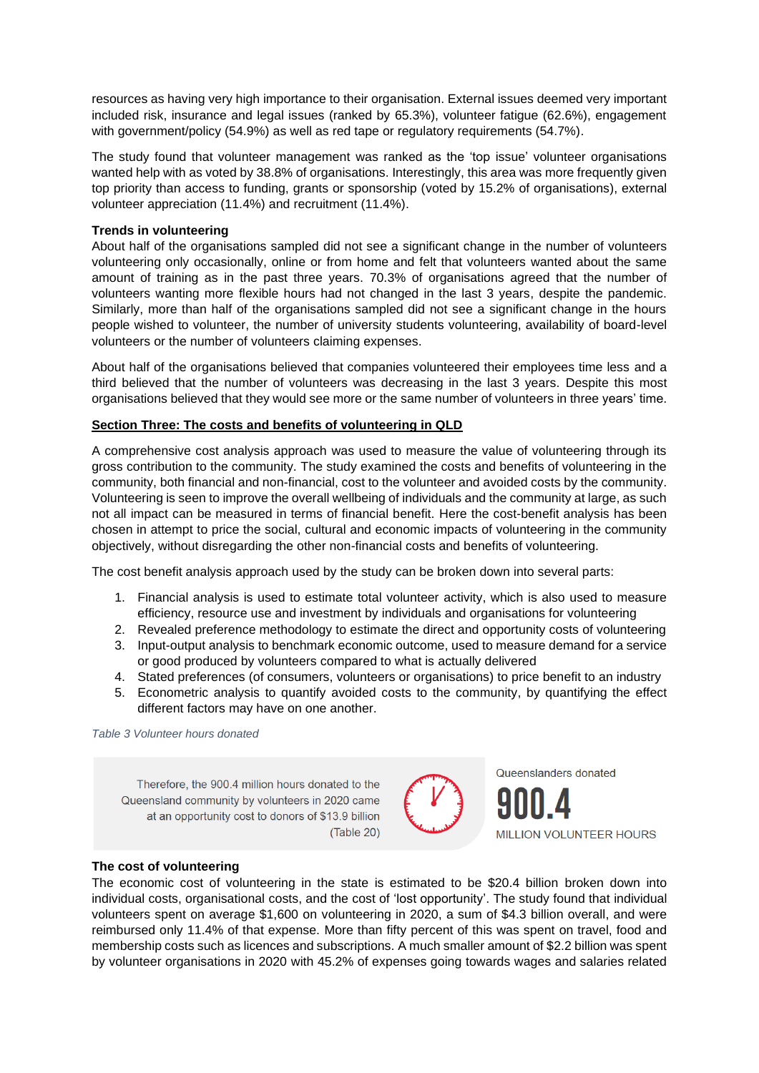resources as having very high importance to their organisation. External issues deemed very important included risk, insurance and legal issues (ranked by 65.3%), volunteer fatigue (62.6%), engagement with government/policy (54.9%) as well as red tape or regulatory requirements (54.7%).

The study found that volunteer management was ranked as the 'top issue' volunteer organisations wanted help with as voted by 38.8% of organisations. Interestingly, this area was more frequently given top priority than access to funding, grants or sponsorship (voted by 15.2% of organisations), external volunteer appreciation (11.4%) and recruitment (11.4%).

## **Trends in volunteering**

About half of the organisations sampled did not see a significant change in the number of volunteers volunteering only occasionally, online or from home and felt that volunteers wanted about the same amount of training as in the past three years. 70.3% of organisations agreed that the number of volunteers wanting more flexible hours had not changed in the last 3 years, despite the pandemic. Similarly, more than half of the organisations sampled did not see a significant change in the hours people wished to volunteer, the number of university students volunteering, availability of board-level volunteers or the number of volunteers claiming expenses.

About half of the organisations believed that companies volunteered their employees time less and a third believed that the number of volunteers was decreasing in the last 3 years. Despite this most organisations believed that they would see more or the same number of volunteers in three years' time.

## **Section Three: The costs and benefits of volunteering in QLD**

A comprehensive cost analysis approach was used to measure the value of volunteering through its gross contribution to the community. The study examined the costs and benefits of volunteering in the community, both financial and non-financial, cost to the volunteer and avoided costs by the community. Volunteering is seen to improve the overall wellbeing of individuals and the community at large, as such not all impact can be measured in terms of financial benefit. Here the cost-benefit analysis has been chosen in attempt to price the social, cultural and economic impacts of volunteering in the community objectively, without disregarding the other non-financial costs and benefits of volunteering.

The cost benefit analysis approach used by the study can be broken down into several parts:

- 1. Financial analysis is used to estimate total volunteer activity, which is also used to measure efficiency, resource use and investment by individuals and organisations for volunteering
- 2. Revealed preference methodology to estimate the direct and opportunity costs of volunteering
- 3. Input-output analysis to benchmark economic outcome, used to measure demand for a service or good produced by volunteers compared to what is actually delivered
- 4. Stated preferences (of consumers, volunteers or organisations) to price benefit to an industry
- 5. Econometric analysis to quantify avoided costs to the community, by quantifying the effect different factors may have on one another.

*Table 3 Volunteer hours donated*

Therefore, the 900.4 million hours donated to the Queensland community by volunteers in 2020 came at an opportunity cost to donors of \$13.9 billion (Table 20)



### **The cost of volunteering**

The economic cost of volunteering in the state is estimated to be \$20.4 billion broken down into individual costs, organisational costs, and the cost of 'lost opportunity'. The study found that individual volunteers spent on average \$1,600 on volunteering in 2020, a sum of \$4.3 billion overall, and were reimbursed only 11.4% of that expense. More than fifty percent of this was spent on travel, food and membership costs such as licences and subscriptions. A much smaller amount of \$2.2 billion was spent by volunteer organisations in 2020 with 45.2% of expenses going towards wages and salaries related